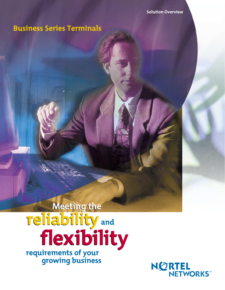# **Business Series Terminals**

# **Meeting the reliability and flexibility Meeting the reliability and flexibility requirements of your**

**growing business**

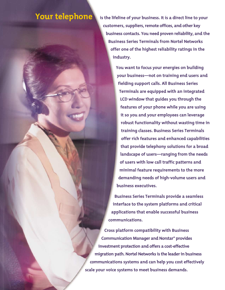# **Your telephone**

**is the lifeline of your business. It ís a direct line to your customers, suppliers, remote offices, and other key business contacts. You need proven reliability, and the Business Series Terminals from Nortel Networks offer one of the highest reliability ratings in the industry.**

> **You want to focus your energies on building your business—not on training end users and fielding support calls. All Business Series Terminals are equipped with an integrated LCD window that guides you through the features of your phone while you are using it so you and your employees can leverage robust functionality without wasting time in training classes. Business Series Terminals offer rich features and enhanced capabilities that provide telephony solutions for a broad landscape of users—ranging from the needs of users with low call traffic patterns and minimal feature requirements to the more demanding needs of high-volume users and business executives.**

**Business Series Terminals provide a seamless interface to the system platforms and critical applications that enable successful business communications.** 

**Cross platform compatibility with Business Communication Manager and Norstar\* provides investment protection and offers a cost-effective migration path. Nortel Networks is the leader in business communications systems and can help you cost effectively scale your voice systems to meet business demands.**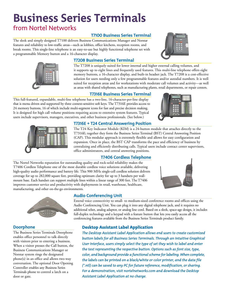# **Business Series Terminals**

# from Nortel Networks

## **T7100 Business Series Terminal**

The sleek and simply designed T7100 delivers Business Communications Manager and Norstar features and reliability to low-traffic areas—such as lobbies, office kitchens, reception rooms, and break rooms. This single-line telephone is an easy-to-use but highly functional telephone set with a programmable Memory button and a 16-character display.





#### **T7208 Business Series Terminal**

The T7208 is uniquely suited for lower internal and higher external calling volumes, and it supports up to eight lines and frequently used features. This multi-line telephone offers eight memory buttons, a 16-character display, and built-in headset jack. The T7208 is a cost-effective solution for users needing only a few programmable features and/or autodial numbers. It is well suited for reception areas and for workstations with moderate call volumes and activity—as well as areas with shared telephones, such as manufacturing plants, retail departments, or repair centers.

### **T7316E Business Series Terminal**

This full-featured, expandable, multi-line telephone has a two-line, 16-character-per-line display that is menu driven and supported by three context-sensitive soft keys. The T7316E provides access to 24 memory buttons, 16 of which include multi-segment icons for fast and precise decision making. It is designed for high call volume positions requiring access to extensive system features. Typical users include supervisors, managers, executives, and other business professionals. (See below.)





### **T7316E + T24 Central Answering Position**

The T24 Key Indicator Module (KIM) is a 24-button module that attaches directly to the T7316E; together they form the Business Series Terminal (BST) Central Answering Position (CAP). This modular approach is extremely flexible and allows for easy configuration and expansion. Once in place, the BST CAP transforms the pace and efficiency of business by centralizing and efficiently distributing calls. Typical users include contact center supervisors, office administrators, and central answering positions.

## **T7406 Cordless Telephone**

The Nortel Networks reputation for outstanding quality and rock-solid reliability makes the T7406 Cordless Telephone one of the most durable cordless voice solutions available, delivering high-quality audio performance and battery life. This 900 MHz single-cell cordless solution delivers coverage for up to 282,000 square feet, providing optimum clarity for up to 3 handsets per wallmount base. Each handset can support multiple lines within a linear range of 300 feet. The T7406 improves customer service and productivity with deployments in retail, warehouse, healthcare, manufacturing, and other on-the-go environments.





## **Doorphone**

The Business Series Terminals Doorphone enables office personnel to talk directly with visitors prior to entering a business. When a visitor presses the Call button, the Business Communications Manager or Norstar system rings the designated phone(s) in an office and allows two-way conversation. The optional Door Opening Controller enables any Business Series Terminals phone to control a latch on a door or gate.

## **Audio Conferencing Unit**

Extend voice connectivity to small- to medium-sized conference rooms and offices using the Audio Conferencing Unit. You can plug it into any digital telephone jack, and it requires no additional telset, analog adaptor, or analog line cord. Based on a sleek, space-age design, it includes full-duplex technology and a keypad with a feature button that lets you easily access all the conferencing features available from the Business Series Terminals product family.

## Desktop Assistant Label Application

*The Desktop Assistant Label Application allows end users to create customized button labels for all Business Series Terminals. Through an intuitive Graphical User Interface, users simply select the type of set they wish to label and enter the text representing the respective button. Options such as font size, type, color, and background provide a functional scheme for labeling. When complete, the labels can be printed on a black/white or color printer, and the data file (\*.ntl) can be saved to any PC for future reference, modification, or sharing. For a demonstration, visit nortelnetworks.com and download the Desktop Assistant Label Application at no charge.*